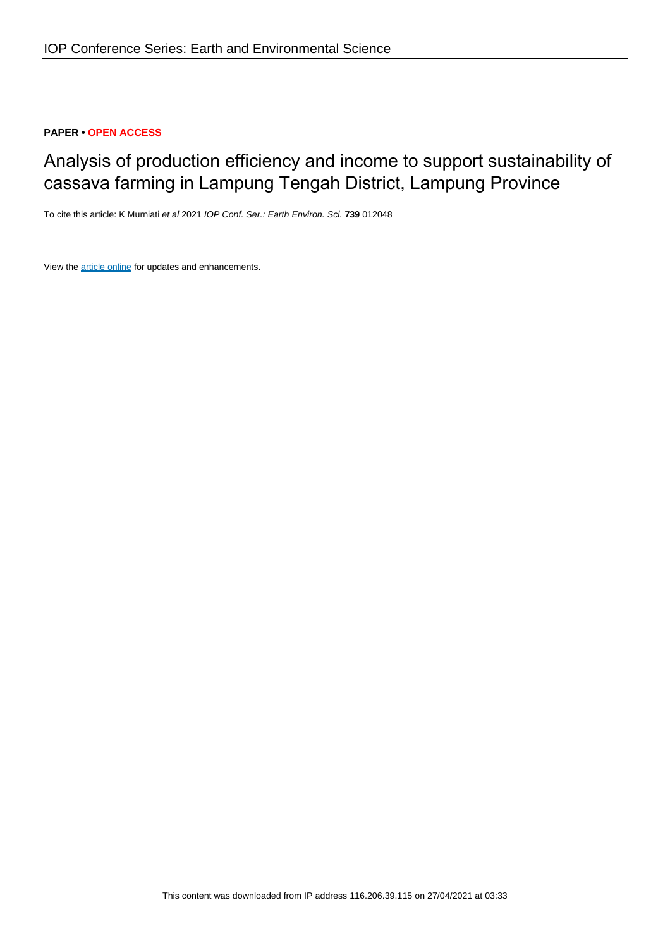### **PAPER • OPEN ACCESS**

# Analysis of production efficiency and income to support sustainability of cassava farming in Lampung Tengah District, Lampung Province

To cite this article: K Murniati et al 2021 IOP Conf. Ser.: Earth Environ. Sci. **739** 012048

View the **[article online](https://doi.org/10.1088/1755-1315/739/1/012048)** for updates and enhancements.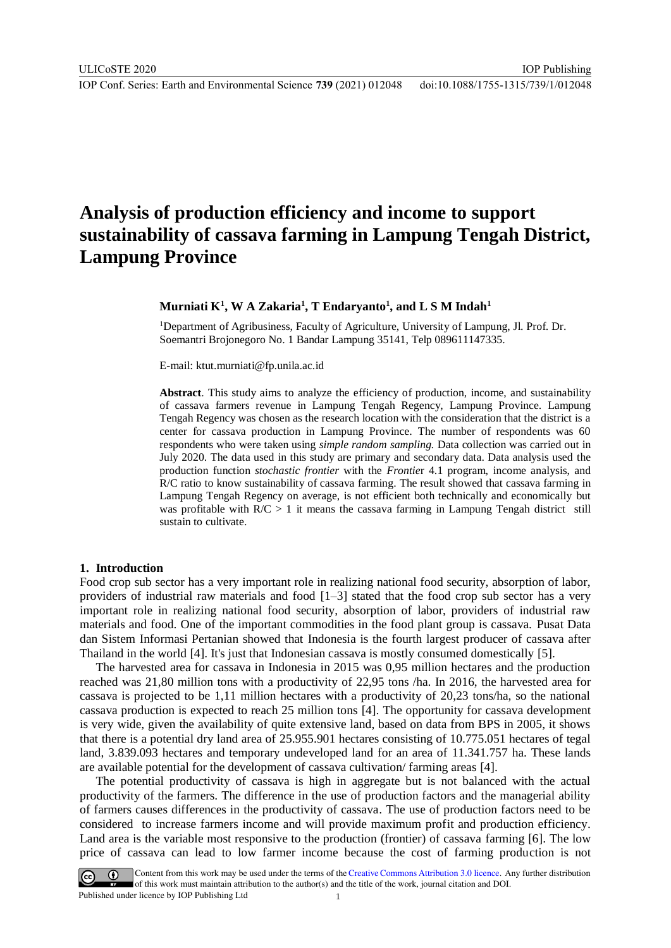## **Analysis of production efficiency and income to support sustainability of cassava farming in Lampung Tengah District, Lampung Province**

#### $\mathbf{M}$ urniati  $\mathbf{K}^1,\mathbf{W}$  A Zakaria $^1,\mathbf{T}$  Endaryanto $^1,$  and  $\mathbf{L}\mathbf{S}\mathbf{M}$  Indah $^1$

<sup>1</sup>Department of Agribusiness, Faculty of Agriculture, University of Lampung, Jl. Prof. Dr. Soemantri Brojonegoro No. 1 Bandar Lampung 35141, Telp 089611147335.

E-mail: ktut.murniati@fp.unila.ac.id

**Abstract**. This study aims to analyze the efficiency of production, income, and sustainability of cassava farmers revenue in Lampung Tengah Regency, Lampung Province. Lampung Tengah Regency was chosen as the research location with the consideration that the district is a center for cassava production in Lampung Province. The number of respondents was 60 respondents who were taken using *simple random sampling.* Data collection was carried out in July 2020. The data used in this study are primary and secondary data. Data analysis used the production function *stochastic frontier* with the *Frontie*r 4.1 program, income analysis, and R/C ratio to know sustainability of cassava farming. The result showed that cassava farming in Lampung Tengah Regency on average, is not efficient both technically and economically but was profitable with  $R/C > 1$  it means the cassava farming in Lampung Tengah district still sustain to cultivate.

#### **1. Introduction**

Food crop sub sector has a very important role in realizing national food security, absorption of labor, providers of industrial raw materials and food [1–3] stated that the food crop sub sector has a very important role in realizing national food security, absorption of labor, providers of industrial raw materials and food. One of the important commodities in the food plant group is cassava. Pusat Data dan Sistem Informasi Pertanian showed that Indonesia is the fourth largest producer of cassava after Thailand in the world [4]. It's just that Indonesian cassava is mostly consumed domestically [5].

The harvested area for cassava in Indonesia in 2015 was 0,95 million hectares and the production reached was 21,80 million tons with a productivity of 22,95 tons /ha. In 2016, the harvested area for cassava is projected to be 1,11 million hectares with a productivity of 20,23 tons/ha, so the national cassava production is expected to reach 25 million tons [4]. The opportunity for cassava development is very wide, given the availability of quite extensive land, based on data from BPS in 2005, it shows that there is a potential dry land area of 25.955.901 hectares consisting of 10.775.051 hectares of tegal land, 3.839.093 hectares and temporary undeveloped land for an area of 11.341.757 ha. These lands are available potential for the development of cassava cultivation/ farming areas [4].

The potential productivity of cassava is high in aggregate but is not balanced with the actual productivity of the farmers. The difference in the use of production factors and the managerial ability of farmers causes differences in the productivity of cassava. The use of production factors need to be considered to increase farmers income and will provide maximum profit and production efficiency. Land area is the variable most responsive to the production (frontier) of cassava farming [6]. The low price of cassava can lead to low farmer income because the cost of farming production is not

Content from this work may be used under the terms of the Creative Commons Attribution 3.0 licence. Any further distribution of this work must maintain attribution to the author(s) and the title of the work, journal citation and DOI. Published under licence by IOP Publishing Ltd 1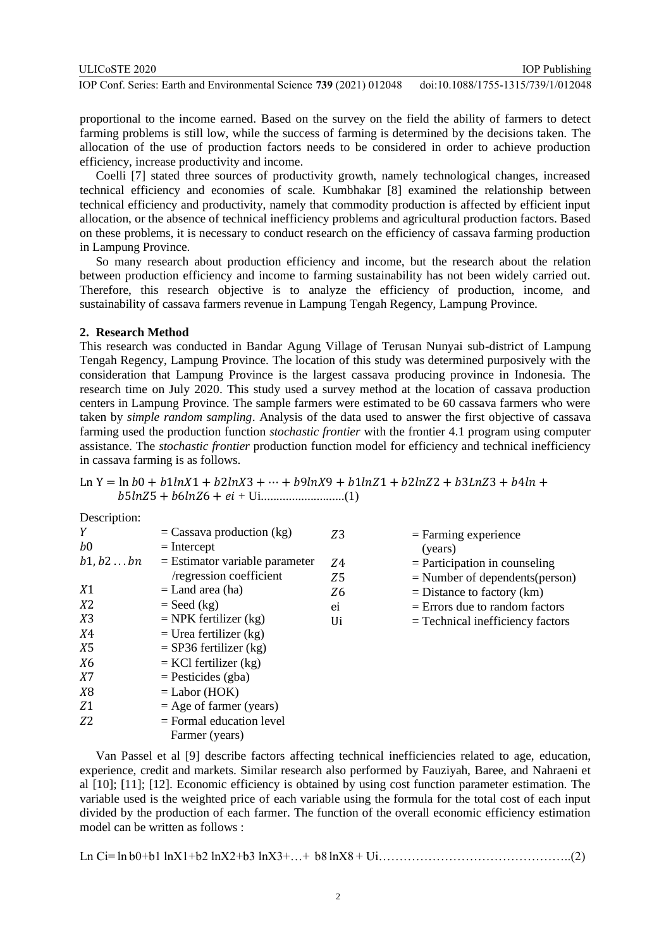| ULIC <sub>o</sub> ste 2020                                   |  |                                | <b>TOP Publishing</b>        |
|--------------------------------------------------------------|--|--------------------------------|------------------------------|
| $\mathbf{r} \cap \mathbf{r} \cap \mathbf{r} \cap \mathbf{r}$ |  | $\equiv$ 30. (303.1), 01.30.10 | 1.11010000177771777010000000 |

proportional to the income earned. Based on the survey on the field the ability of farmers to detect farming problems is still low, while the success of farming is determined by the decisions taken. The allocation of the use of production factors needs to be considered in order to achieve production efficiency, increase productivity and income.

Coelli [7] stated three sources of productivity growth, namely technological changes, increased technical efficiency and economies of scale. Kumbhakar [8] examined the relationship between technical efficiency and productivity, namely that commodity production is affected by efficient input allocation, or the absence of technical inefficiency problems and agricultural production factors. Based on these problems, it is necessary to conduct research on the efficiency of cassava farming production in Lampung Province.

So many research about production efficiency and income, but the research about the relation between production efficiency and income to farming sustainability has not been widely carried out. Therefore, this research objective is to analyze the efficiency of production, income, and sustainability of cassava farmers revenue in Lampung Tengah Regency, Lampung Province.

#### **2. Research Method**

This research was conducted in Bandar Agung Village of Terusan Nunyai sub-district of Lampung Tengah Regency, Lampung Province. The location of this study was determined purposively with the consideration that Lampung Province is the largest cassava producing province in Indonesia. The research time on July 2020. This study used a survey method at the location of cassava production centers in Lampung Province. The sample farmers were estimated to be 60 cassava farmers who were taken by *simple random sampling*. Analysis of the data used to answer the first objective of cassava farming used the production function *stochastic frontier* with the frontier 4.1 program using computer assistance. The *stochastic frontier* production function model for efficiency and technical inefficiency in cassava farming is as follows.

|  | $\ln Y = \ln b0 + b1\ln X1 + b2\ln X3 + \cdots + b9\ln X9 + b1\ln Z1 + b2\ln Z2 + b3\ln Z3 + b4\ln X$ |  |
|--|-------------------------------------------------------------------------------------------------------|--|
|  |                                                                                                       |  |

| $=$ Cassava production (kg)      | Z <sub>3</sub> | $=$ Farming experience             |
|----------------------------------|----------------|------------------------------------|
| $=$ Intercept                    |                | (years)                            |
| $=$ Estimator variable parameter | Z4             | $=$ Participation in counseling    |
| /regression coefficient          | Z5             | $=$ Number of dependents (person)  |
| $=$ Land area (ha)               | Z <sub>6</sub> | $=$ Distance to factory (km)       |
| $=$ Seed (kg)                    | ei             | $=$ Errors due to random factors   |
| $=$ NPK fertilizer (kg)          | Ui             | $=$ Technical inefficiency factors |
| $=$ Urea fertilizer (kg)         |                |                                    |
| $=$ SP36 fertilizer (kg)         |                |                                    |
| $=$ KCl fertilizer (kg)          |                |                                    |
| $=$ Pesticides (gba)             |                |                                    |
| $=$ Labor (HOK)                  |                |                                    |
| $=$ Age of farmer (years)        |                |                                    |
| $=$ Formal education level       |                |                                    |
| Farmer (years)                   |                |                                    |
|                                  |                |                                    |

Van Passel et al [9] describe factors affecting technical inefficiencies related to age, education, experience, credit and markets. Similar research also performed by Fauziyah, Baree, and Nahraeni et al [10]; [11]; [12]. Economic efficiency is obtained by using cost function parameter estimation. The variable used is the weighted price of each variable using the formula for the total cost of each input divided by the production of each farmer. The function of the overall economic efficiency estimation model can be written as follows :

|--|--|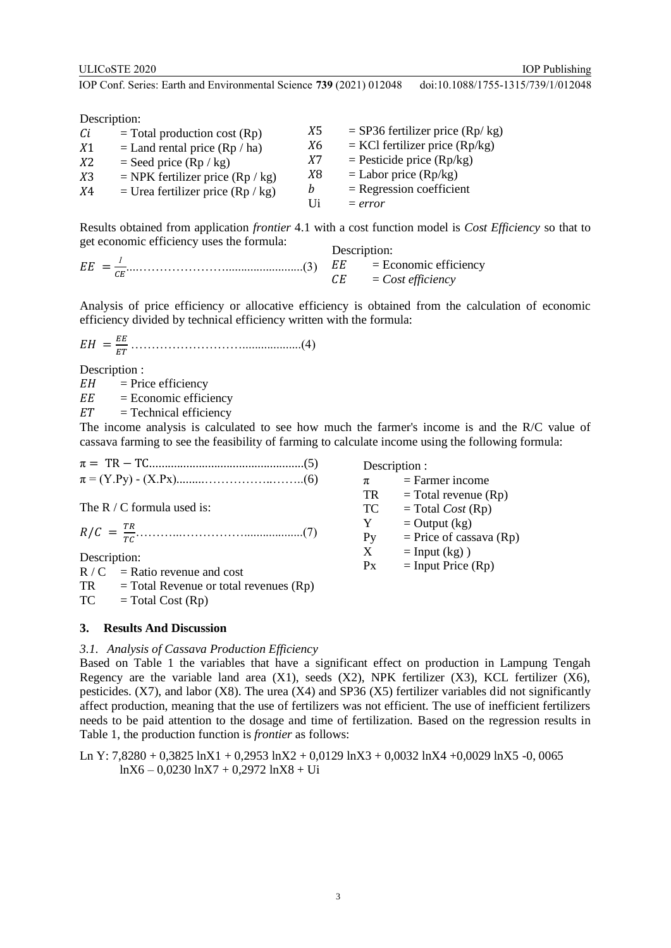IOP Publishing

IOP Conf. Series: Earth and Environmental Science **739** (2021) 012048 doi:10.1088/1755-1315/739/1/012048

Description:

| Сi             | $=$ Total production cost (Rp)      | X5         | $=$ SP36 fertilizer price (Rp/ kg) |
|----------------|-------------------------------------|------------|------------------------------------|
|                |                                     |            |                                    |
| X1             | $=$ Land rental price (Rp / ha)     | X6         | $=$ KCl fertilizer price (Rp/kg)   |
| X2             | $=$ Seed price (Rp / kg)            | <i>X</i> 7 | $=$ Pesticide price (Rp/kg)        |
| X <sub>3</sub> | $=$ NPK fertilizer price (Rp / kg)  | X8         | $=$ Labor price (Rp/kg)            |
| <i>X</i> 4     | = Urea fertilizer price $(Rp / kg)$ | b          | $=$ Regression coefficient         |
|                |                                     | Ηi         | $= error$                          |

Results obtained from application *frontier* 4.1 with a cost function model is *Cost Efficiency* so that to get economic efficiency uses the formula: Description:

|                      | DUSCHIPHON.             |
|----------------------|-------------------------|
| $EE = \frac{1}{2}$ . | $=$ Economic efficiency |
|                      | $=$ Cost efficiency     |

Analysis of price efficiency or allocative efficiency is obtained from the calculation of economic efficiency divided by technical efficiency written with the formula:

 = ………………………...................(4)

Description :

 $EH$  = Price efficiency

 $EE$  = Economic efficiency

 $ET = Technical efficiency$ 

The income analysis is calculated to see how much the farmer's income is and the R/C value of cassava farming to see the feasibility of farming to calculate income using the following formula:

Description :

 $\pi$  = Farmer income  $TR = Total revenue (Rp)$  $TC = Total Cost (Rp)$  $Y =$ Output (kg)

Py = Price of cassava (Rp)<br>  $X =$  Input (kg))  $=$  Input (kg) )  $Px = Input Price (Rp)$ 

The R / C formula used is:

$$
R/C = \frac{TR}{TC} \tag{7}
$$

Description:

 $R / C$  = Ratio revenue and cost  $TR = Total Revenue or total revenues (Rp)$  $TC = Total Cost (Rp)$ 

### **3. Results And Discussion**

#### *3.1. Analysis of Cassava Production Efficiency*

Based on Table 1 the variables that have a significant effect on production in Lampung Tengah Regency are the variable land area  $(X1)$ , seeds  $(X2)$ , NPK fertilizer  $(X3)$ , KCL fertilizer  $(X6)$ , pesticides.  $(X7)$ , and labor  $(X8)$ . The urea  $(X4)$  and SP36  $(X5)$  fertilizer variables did not significantly affect production, meaning that the use of fertilizers was not efficient. The use of inefficient fertilizers needs to be paid attention to the dosage and time of fertilization. Based on the regression results in Table 1, the production function is *frontier* as follows:

Ln Y: 7,8280 + 0,3825 lnX1 + 0,2953 lnX2 + 0,0129 lnX3 + 0,0032 lnX4 +0,0029 lnX5 -0, 0065 lnX6 – 0,0230 lnX7 + 0,2972 lnX8 + Ui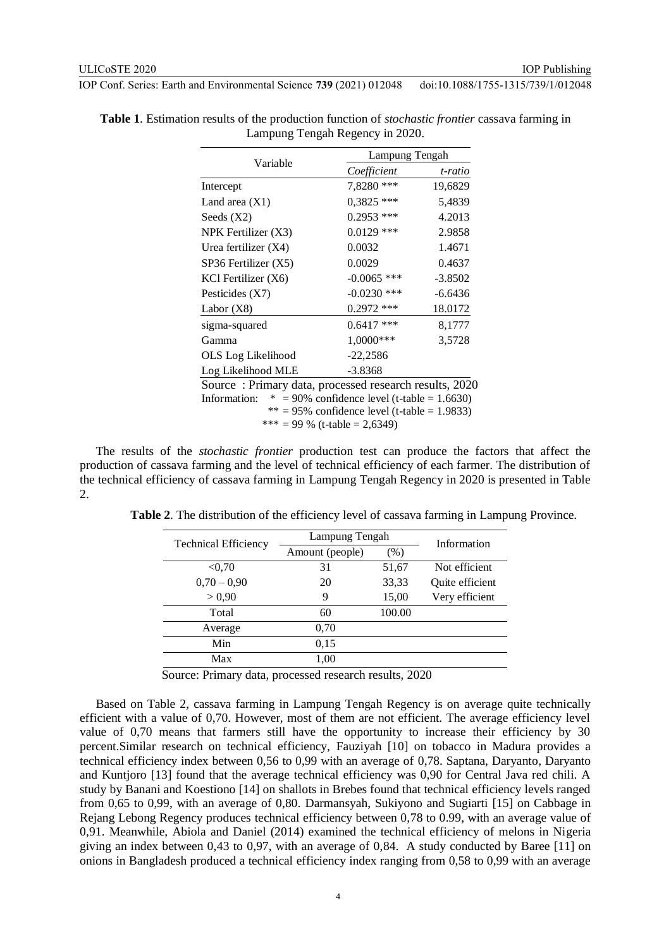|                                                        |                                                | Lampung Tengah |  |  |
|--------------------------------------------------------|------------------------------------------------|----------------|--|--|
| Variable                                               | Coefficient                                    | t-ratio        |  |  |
| Intercept                                              | 7,8280 ***                                     | 19,6829        |  |  |
| Land area $(X1)$                                       | $0.3825$ ***                                   | 5,4839         |  |  |
| Seeds $(X2)$                                           | $0.2953$ ***                                   | 4.2013         |  |  |
| NPK Fertilizer $(X3)$                                  | $0.0129$ ***                                   | 2.9858         |  |  |
| Urea fertilizer (X4)                                   | 0.0032                                         | 1.4671         |  |  |
| SP36 Fertilizer (X5)                                   | 0.0029                                         | 0.4637         |  |  |
| KCl Fertilizer (X6)                                    | $-0.0065$ ***                                  | $-3.8502$      |  |  |
| Pesticides $(X7)$                                      | $-0.0230$ ***                                  | $-6.6436$      |  |  |
| Labor $(X8)$                                           | $0.2972$ ***                                   | 18.0172        |  |  |
| sigma-squared                                          | $0.6417$ ***                                   | 8,1777         |  |  |
| Gamma                                                  | $1,0000***$                                    | 3,5728         |  |  |
| OLS Log Likelihood                                     | $-22,2586$                                     |                |  |  |
| Log Likelihood MLE                                     | $-3.8368$                                      |                |  |  |
| Source: Primary data, processed research results, 2020 |                                                |                |  |  |
| Information:                                           | $* = 90\%$ confidence level (t-table = 1.6630) |                |  |  |
|                                                        | $**$ = 95% confidence level (t-table = 1.9833) |                |  |  |
|                                                        | *** = 99 % (t-table = 2,6349)                  |                |  |  |

**Table 1**. Estimation results of the production function of *stochastic frontier* cassava farming in Lampung Tengah Regency in 2020.

The results of the *stochastic frontier* production test can produce the factors that affect the production of cassava farming and the level of technical efficiency of each farmer. The distribution of the technical efficiency of cassava farming in Lampung Tengah Regency in 2020 is presented in Table 2.

| <b>Technical Efficiency</b> | Lampung Tengah  | Information |                 |
|-----------------------------|-----------------|-------------|-----------------|
|                             | Amount (people) | (% )        |                 |
| < 0.70                      | 31              | 51,67       | Not efficient   |
| $0,70-0,90$                 | 20              | 33,33       | Quite efficient |
| > 0.90                      | 9               | 15,00       | Very efficient  |
| Total                       | 60              | 100.00      |                 |
| Average                     | 0,70            |             |                 |
| Min                         | 0,15            |             |                 |
| Max                         | 1.00            |             |                 |

**Table 2**. The distribution of the efficiency level of cassava farming in Lampung Province.

Source: Primary data, processed research results, 2020

Based on Table 2, cassava farming in Lampung Tengah Regency is on average quite technically efficient with a value of 0,70. However, most of them are not efficient. The average efficiency level value of 0,70 means that farmers still have the opportunity to increase their efficiency by 30 percent.Similar research on technical efficiency, Fauziyah [10] on tobacco in Madura provides a technical efficiency index between 0,56 to 0,99 with an average of 0,78. Saptana, Daryanto, Daryanto and Kuntjoro [13] found that the average technical efficiency was 0,90 for Central Java red chili. A study by Banani and Koestiono [14] on shallots in Brebes found that technical efficiency levels ranged from 0,65 to 0,99, with an average of 0,80. Darmansyah, Sukiyono and Sugiarti [15] on Cabbage in Rejang Lebong Regency produces technical efficiency between 0,78 to 0.99, with an average value of 0,91. Meanwhile, Abiola and Daniel (2014) examined the technical efficiency of melons in Nigeria giving an index between 0,43 to 0,97, with an average of 0,84. A study conducted by Baree [11] on onions in Bangladesh produced a technical efficiency index ranging from 0,58 to 0,99 with an average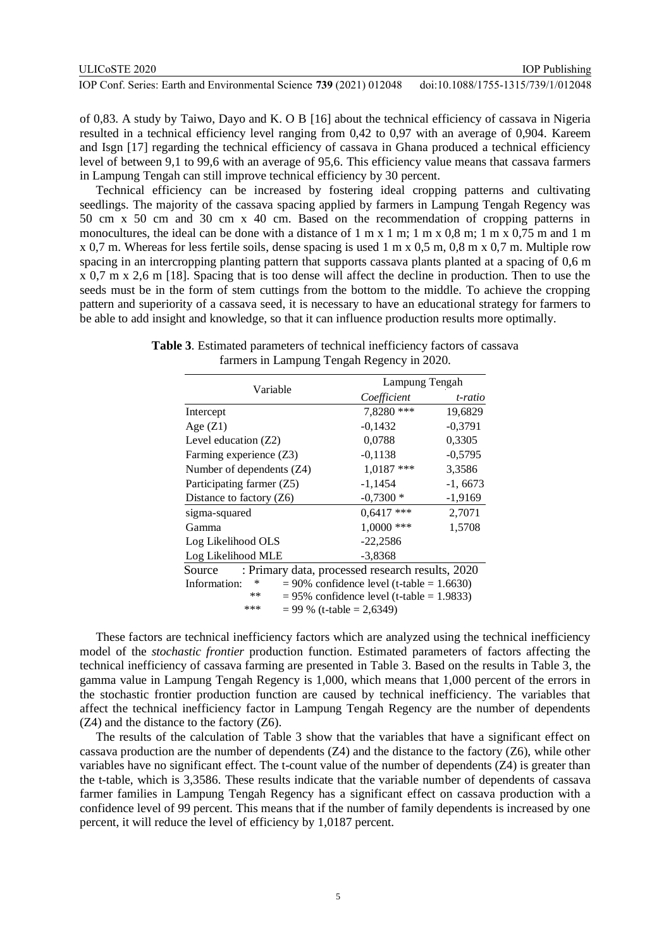of 0,83. A study by Taiwo, Dayo and K. O B [16] about the technical efficiency of cassava in Nigeria resulted in a technical efficiency level ranging from 0,42 to 0,97 with an average of 0,904. Kareem and Isgn [17] regarding the technical efficiency of cassava in Ghana produced a technical efficiency level of between 9,1 to 99,6 with an average of 95,6. This efficiency value means that cassava farmers in Lampung Tengah can still improve technical efficiency by 30 percent.

Technical efficiency can be increased by fostering ideal cropping patterns and cultivating seedlings. The majority of the cassava spacing applied by farmers in Lampung Tengah Regency was 50 cm x 50 cm and 30 cm x 40 cm. Based on the recommendation of cropping patterns in monocultures, the ideal can be done with a distance of  $1 \text{ m} \times 1 \text{ m}$ ;  $1 \text{ m} \times 0.8 \text{ m}$ ;  $1 \text{ m} \times 0.75 \text{ m}$  and  $1 \text{ m}$ x 0,7 m. Whereas for less fertile soils, dense spacing is used 1 m x 0,5 m, 0,8 m x 0,7 m. Multiple row spacing in an intercropping planting pattern that supports cassava plants planted at a spacing of 0,6 m x 0,7 m x 2,6 m [18]. Spacing that is too dense will affect the decline in production. Then to use the seeds must be in the form of stem cuttings from the bottom to the middle. To achieve the cropping pattern and superiority of a cassava seed, it is necessary to have an educational strategy for farmers to be able to add insight and knowledge, so that it can influence production results more optimally.

| Variable                                                   |                                                 | Lampung Tengah |  |  |
|------------------------------------------------------------|-------------------------------------------------|----------------|--|--|
|                                                            | Coefficient                                     | t-ratio        |  |  |
| Intercept                                                  | 7,8280 ***                                      | 19,6829        |  |  |
| Age $(Z1)$                                                 | $-0,1432$                                       | $-0,3791$      |  |  |
| Level education (Z2)                                       | 0,0788                                          | 0,3305         |  |  |
| Farming experience (Z3)                                    | $-0,1138$                                       | $-0,5795$      |  |  |
| Number of dependents (Z4)                                  | $1,0187$ ***                                    | 3,3586         |  |  |
| Participating farmer (Z5)                                  | $-1,1454$                                       | $-1,6673$      |  |  |
| Distance to factory $(Z6)$                                 | $-0,7300*$                                      | $-1,9169$      |  |  |
| sigma-squared                                              | $0.6417$ ***                                    | 2,7071         |  |  |
| Gamma                                                      | $1,0000$ ***                                    | 1,5708         |  |  |
| Log Likelihood OLS                                         | $-22,2586$                                      |                |  |  |
| Log Likelihood MLE                                         | $-3,8368$                                       |                |  |  |
| : Primary data, processed research results, 2020<br>Source |                                                 |                |  |  |
| Information:<br>∗                                          | $= 90\%$ confidence level (t-table $= 1.6630$ ) |                |  |  |
| $**$                                                       | $= 95\%$ confidence level (t-table $= 1.9833$ ) |                |  |  |
| ***                                                        | $= 99 \%$ (t-table $= 2,6349$ )                 |                |  |  |

**Table 3**. Estimated parameters of technical inefficiency factors of cassava farmers in Lampung Tengah Regency in 2020.

These factors are technical inefficiency factors which are analyzed using the technical inefficiency model of the *stochastic frontier* production function. Estimated parameters of factors affecting the technical inefficiency of cassava farming are presented in Table 3. Based on the results in Table 3, the gamma value in Lampung Tengah Regency is 1,000, which means that 1,000 percent of the errors in the stochastic frontier production function are caused by technical inefficiency. The variables that affect the technical inefficiency factor in Lampung Tengah Regency are the number of dependents (Z4) and the distance to the factory (Z6).

The results of the calculation of Table 3 show that the variables that have a significant effect on cassava production are the number of dependents (Z4) and the distance to the factory (Z6), while other variables have no significant effect. The t-count value of the number of dependents (Z4) is greater than the t-table, which is 3,3586. These results indicate that the variable number of dependents of cassava farmer families in Lampung Tengah Regency has a significant effect on cassava production with a confidence level of 99 percent. This means that if the number of family dependents is increased by one percent, it will reduce the level of efficiency by 1,0187 percent.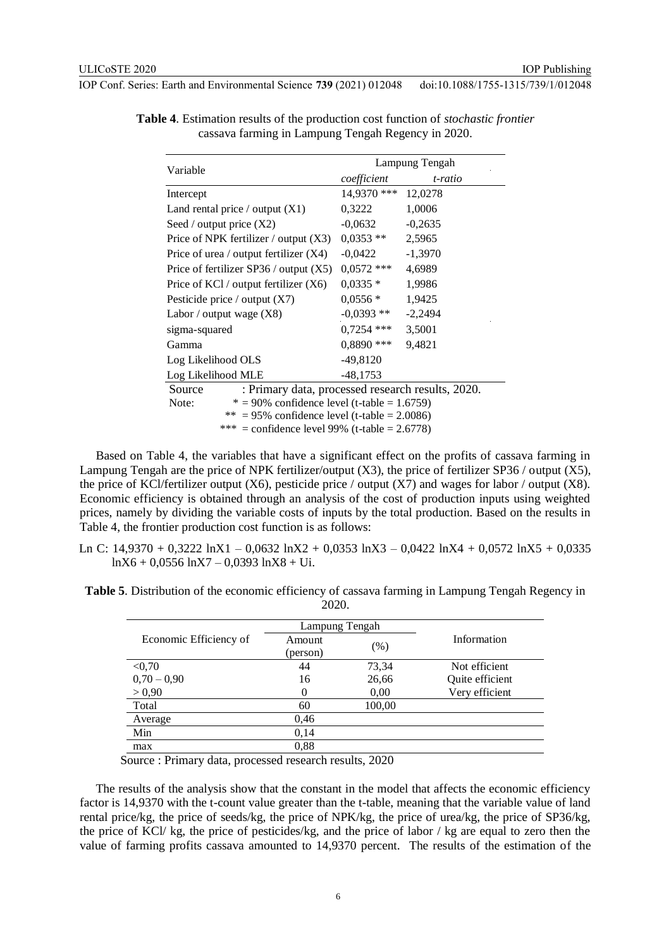| Variable                                                    | Lampung Tengah |           |  |
|-------------------------------------------------------------|----------------|-----------|--|
|                                                             | coefficient    | t-ratio   |  |
| Intercept                                                   | 14,9370 ***    | 12,0278   |  |
| Land rental price / output $(X1)$                           | 0,3222         | 1,0006    |  |
| Seed / output price $(X2)$                                  | $-0.0632$      | $-0,2635$ |  |
| Price of NPK fertilizer / output $(X3)$                     | $0,0353**$     | 2,5965    |  |
| Price of urea / output fertilizer $(X4)$                    | $-0.0422$      | $-1,3970$ |  |
| Price of fertilizer SP36 / output $(X5)$                    | $0,0572$ ***   | 4,6989    |  |
| Price of KCl / output fertilizer $(X6)$                     | $0,0335*$      | 1,9986    |  |
| Pesticide price / output $(X7)$                             | $0.0556*$      | 1,9425    |  |
| Labor / output wage $(X8)$                                  | $-0.0393**$    | $-2,2494$ |  |
| sigma-squared                                               | $0,7254$ ***   | 3,5001    |  |
| Gamma                                                       | $0,8890$ ***   | 9,4821    |  |
| Log Likelihood OLS                                          | $-49,8120$     |           |  |
| Log Likelihood MLE                                          | $-48,1753$     |           |  |
| : Primary data, processed research results, 2020.<br>Source |                |           |  |
| $* = 90\%$ confidence level (t-table = 1.6759)<br>Note:     |                |           |  |
| ** = 95% confidence level (t-table = 2.0086)                |                |           |  |
| *** = confidence level 99% (t-table = 2.6778)               |                |           |  |

**Table 4**. Estimation results of the production cost function of *stochastic frontier* cassava farming in Lampung Tengah Regency in 2020.

Based on Table 4, the variables that have a significant effect on the profits of cassava farming in Lampung Tengah are the price of NPK fertilizer/output  $(X3)$ , the price of fertilizer SP36 / output  $(X5)$ , the price of KCl/fertilizer output  $(X6)$ , pesticide price / output  $(X7)$  and wages for labor / output  $(X8)$ . Economic efficiency is obtained through an analysis of the cost of production inputs using weighted prices, namely by dividing the variable costs of inputs by the total production. Based on the results in Table 4, the frontier production cost function is as follows:

Ln C: 14,9370 + 0,3222 lnX1 – 0,0632 lnX2 + 0,0353 lnX3 – 0,0422 lnX4 + 0,0572 lnX5 + 0,0335  $lnX6 + 0.0556 lnX7 - 0.0393 lnX8 + Ui.$ 

| Table 5. Distribution of the economic efficiency of cassava farming in Lampung Tengah Regency in |  |
|--------------------------------------------------------------------------------------------------|--|
| 2020.                                                                                            |  |

| Amount | $(\%)$         | Information             |               |
|--------|----------------|-------------------------|---------------|
|        |                |                         |               |
|        |                |                         |               |
| 16     | 26,66          | Quite efficient         |               |
| 0      | 0.00           | Very efficient          |               |
| 60     | 100,00         |                         |               |
| 0.46   |                |                         |               |
| 0,14   |                |                         |               |
| 0,88   |                |                         |               |
|        | (person)<br>44 | Lampung Tengah<br>73,34 | Not efficient |

Source : Primary data, processed research results, 2020

The results of the analysis show that the constant in the model that affects the economic efficiency factor is 14,9370 with the t-count value greater than the t-table, meaning that the variable value of land rental price/kg, the price of seeds/kg, the price of NPK/kg, the price of urea/kg, the price of SP36/kg, the price of KCl/ kg, the price of pesticides/kg, and the price of labor / kg are equal to zero then the value of farming profits cassava amounted to 14,9370 percent. The results of the estimation of the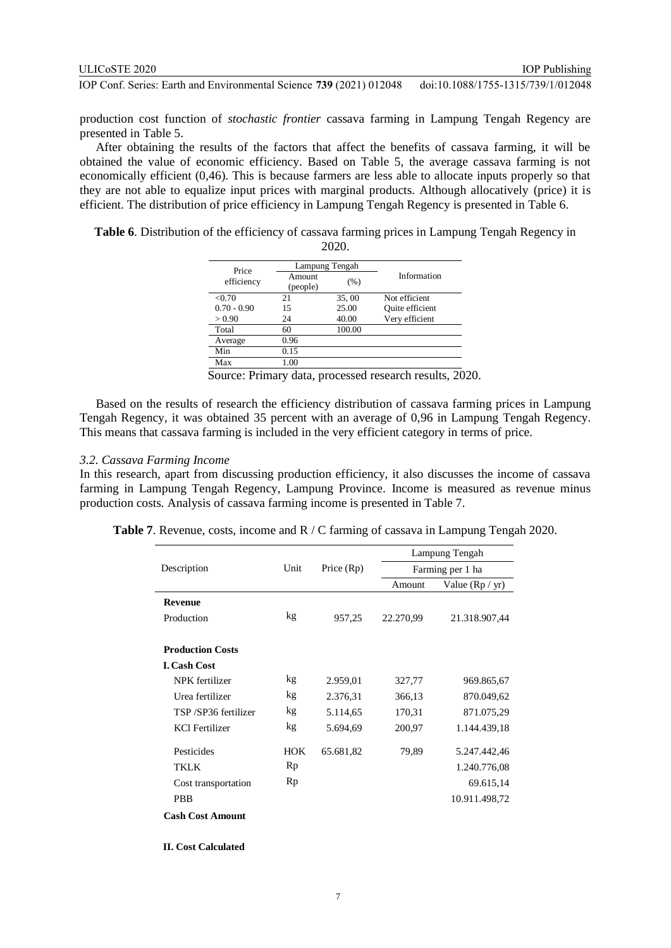production cost function of *stochastic frontier* cassava farming in Lampung Tengah Regency are presented in Table 5.

After obtaining the results of the factors that affect the benefits of cassava farming, it will be obtained the value of economic efficiency. Based on Table 5, the average cassava farming is not economically efficient (0,46). This is because farmers are less able to allocate inputs properly so that they are not able to equalize input prices with marginal products. Although allocatively (price) it is efficient. The distribution of price efficiency in Lampung Tengah Regency is presented in Table 6.

**Table 6**. Distribution of the efficiency of cassava farming prices in Lampung Tengah Regency in 2020.

| Price         |                    | Lampung Tengah |                 |
|---------------|--------------------|----------------|-----------------|
| efficiency    | Amount<br>(people) | (% )           | Information     |
| < 0.70        | 21                 | 35,00          | Not efficient   |
| $0.70 - 0.90$ | 15                 | 25.00          | Quite efficient |
| > 0.90        | 24                 | 40.00          | Very efficient  |
| Total         | 60                 | 100.00         |                 |
| Average       | 0.96               |                |                 |
| Min           | 0.15               |                |                 |
| Max           | 1.00               |                |                 |

Source: Primary data, processed research results, 2020.

Based on the results of research the efficiency distribution of cassava farming prices in Lampung Tengah Regency, it was obtained 35 percent with an average of 0,96 in Lampung Tengah Regency. This means that cassava farming is included in the very efficient category in terms of price.

#### *3.2. Cassava Farming Income*

In this research, apart from discussing production efficiency, it also discusses the income of cassava farming in Lampung Tengah Regency, Lampung Province. Income is measured as revenue minus production costs. Analysis of cassava farming income is presented in Table 7.

|                         |            |              |           | Lampung Tengah    |  |
|-------------------------|------------|--------------|-----------|-------------------|--|
| Description             | Unit       | Price $(Rp)$ |           | Farming per 1 ha  |  |
|                         |            |              | Amount    | Value $(Rp / yr)$ |  |
| <b>Revenue</b>          |            |              |           |                   |  |
| Production              | kg         | 957,25       | 22.270,99 | 21.318.907,44     |  |
|                         |            |              |           |                   |  |
| <b>Production Costs</b> |            |              |           |                   |  |
| <b>I. Cash Cost</b>     |            |              |           |                   |  |
| NPK fertilizer          | kg         | 2.959,01     | 327,77    | 969.865,67        |  |
| Urea fertilizer         | kg         | 2.376,31     | 366,13    | 870.049,62        |  |
| TSP/SP36 fertilizer     | kg         | 5.114,65     | 170,31    | 871.075,29        |  |
| <b>KCl Fertilizer</b>   | kg         | 5.694,69     | 200,97    | 1.144.439,18      |  |
| Pesticides              | <b>HOK</b> | 65.681,82    | 79,89     | 5.247.442,46      |  |
| TKLK                    | Rp         |              |           | 1.240.776,08      |  |
| Cost transportation     | Rp         |              |           | 69.615,14         |  |
| <b>PBB</b>              |            |              |           | 10.911.498,72     |  |
| <b>Cash Cost Amount</b> |            |              |           |                   |  |
|                         |            |              |           |                   |  |

**Table 7**. Revenue, costs, income and R / C farming of cassava in Lampung Tengah 2020.

**II. II. Cost Calculated**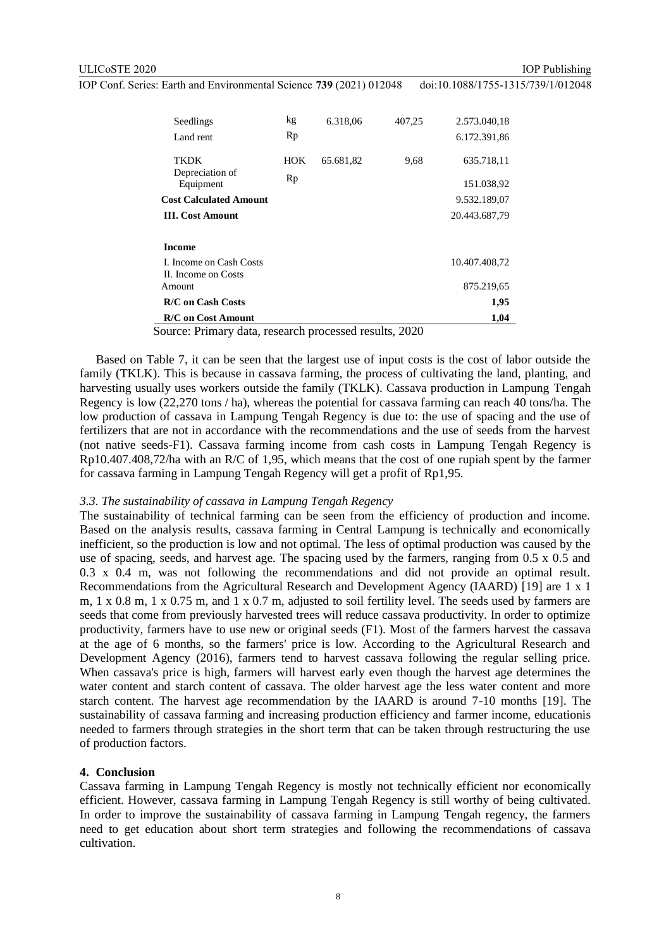IOP Publishing

IOP Conf. Series: Earth and Environmental Science **739** (2021) 012048 doi:10.1088/1755-1315/739/1/012048

| Seedlings<br>Land rent                               | kg<br>Rp  | 6.318,06  | 407,25 | 2.573.040,18<br>6.172.391,86 |
|------------------------------------------------------|-----------|-----------|--------|------------------------------|
| <b>TKDK</b><br>Depreciation of                       | HOK<br>Rp | 65.681,82 | 9,68   | 635.718,11                   |
| Equipment                                            |           |           |        | 151.038,92                   |
| <b>Cost Calculated Amount</b>                        |           |           |        | 9.532.189,07                 |
| <b>III.</b> Cost Amount                              |           |           |        | 20.443.687,79                |
| <b>Income</b>                                        |           |           |        |                              |
| L. Income on Cash Costs<br>II. Income on Costs       |           |           |        | 10.407.408,72                |
| Amount.                                              |           |           |        | 875.219,65                   |
| <b>R/C</b> on Cash Costs                             |           |           |        | 1,95                         |
| <b>R/C</b> on Cost Amount                            |           |           |        | 1,04                         |
| ayyaay Du'urayy data waaqayah wuqaaqaad waxylta 2020 |           |           |        |                              |

Source: Primary data, research processed results, 2020

Based on Table 7, it can be seen that the largest use of input costs is the cost of labor outside the family (TKLK). This is because in cassava farming, the process of cultivating the land, planting, and harvesting usually uses workers outside the family (TKLK). Cassava production in Lampung Tengah Regency is low (22,270 tons / ha), whereas the potential for cassava farming can reach 40 tons/ha. The low production of cassava in Lampung Tengah Regency is due to: the use of spacing and the use of fertilizers that are not in accordance with the recommendations and the use of seeds from the harvest (not native seeds-F1). Cassava farming income from cash costs in Lampung Tengah Regency is Rp10.407.408,72/ha with an R/C of 1,95, which means that the cost of one rupiah spent by the farmer for cassava farming in Lampung Tengah Regency will get a profit of Rp1,95.

#### *3.3. The sustainability of cassava in Lampung Tengah Regency*

The sustainability of technical farming can be seen from the efficiency of production and income. Based on the analysis results, cassava farming in Central Lampung is technically and economically inefficient, so the production is low and not optimal. The less of optimal production was caused by the use of spacing, seeds, and harvest age. The spacing used by the farmers, ranging from 0.5 x 0.5 and 0.3 x 0.4 m, was not following the recommendations and did not provide an optimal result. Recommendations from the Agricultural Research and Development Agency (IAARD) [19] are 1 x 1 m, 1 x 0.8 m, 1 x 0.75 m, and 1 x 0.7 m, adjusted to soil fertility level. The seeds used by farmers are seeds that come from previously harvested trees will reduce cassava productivity. In order to optimize productivity, farmers have to use new or original seeds (F1). Most of the farmers harvest the cassava at the age of 6 months, so the farmers' price is low. According to the Agricultural Research and Development Agency (2016), farmers tend to harvest cassava following the regular selling price. When cassava's price is high, farmers will harvest early even though the harvest age determines the water content and starch content of cassava. The older harvest age the less water content and more starch content. The harvest age recommendation by the IAARD is around 7-10 months [19]. The sustainability of cassava farming and increasing production efficiency and farmer income, educationis needed to farmers through strategies in the short term that can be taken through restructuring the use of production factors.

#### **4. Conclusion**

Cassava farming in Lampung Tengah Regency is mostly not technically efficient nor economically efficient. However, cassava farming in Lampung Tengah Regency is still worthy of being cultivated. In order to improve the sustainability of cassava farming in Lampung Tengah regency, the farmers need to get education about short term strategies and following the recommendations of cassava cultivation.